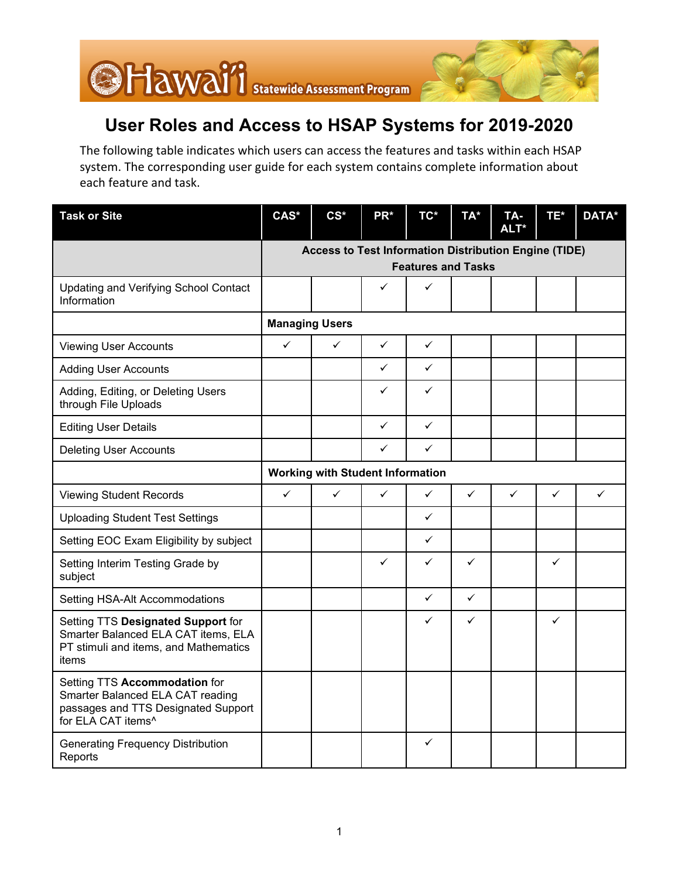

## **User Roles and Access to HSAP Systems for 2019-2020**

The following table indicates which users can access the features and tasks within each HSAP system. The corresponding user guide for each system contains complete information about each feature and task.

| <b>Task or Site</b>                                                                                                                        | CAS*                                                                               | $CS^*$       | PR*          | $TC^*$       | TA*          | TA-<br>ALT* | TE*          | DATA*        |  |  |
|--------------------------------------------------------------------------------------------------------------------------------------------|------------------------------------------------------------------------------------|--------------|--------------|--------------|--------------|-------------|--------------|--------------|--|--|
|                                                                                                                                            | Access to Test Information Distribution Engine (TIDE)<br><b>Features and Tasks</b> |              |              |              |              |             |              |              |  |  |
| <b>Updating and Verifying School Contact</b><br>Information                                                                                |                                                                                    |              | ✓            | ✓            |              |             |              |              |  |  |
|                                                                                                                                            | <b>Managing Users</b>                                                              |              |              |              |              |             |              |              |  |  |
| <b>Viewing User Accounts</b>                                                                                                               | $\checkmark$                                                                       | $\checkmark$ | $\checkmark$ | $\checkmark$ |              |             |              |              |  |  |
| <b>Adding User Accounts</b>                                                                                                                |                                                                                    |              | ✓            | $\checkmark$ |              |             |              |              |  |  |
| Adding, Editing, or Deleting Users<br>through File Uploads                                                                                 |                                                                                    |              | ✓            | ✓            |              |             |              |              |  |  |
| <b>Editing User Details</b>                                                                                                                |                                                                                    |              | ✓            | $\checkmark$ |              |             |              |              |  |  |
| <b>Deleting User Accounts</b>                                                                                                              |                                                                                    |              | ✓            | ✓            |              |             |              |              |  |  |
|                                                                                                                                            | <b>Working with Student Information</b>                                            |              |              |              |              |             |              |              |  |  |
| <b>Viewing Student Records</b>                                                                                                             | $\checkmark$                                                                       | ✓            | ✓            | $\checkmark$ | $\checkmark$ | ✓           | $\checkmark$ | $\checkmark$ |  |  |
| <b>Uploading Student Test Settings</b>                                                                                                     |                                                                                    |              |              | $\checkmark$ |              |             |              |              |  |  |
| Setting EOC Exam Eligibility by subject                                                                                                    |                                                                                    |              |              | $\checkmark$ |              |             |              |              |  |  |
| Setting Interim Testing Grade by<br>subject                                                                                                |                                                                                    |              | $\checkmark$ | $\checkmark$ | $\checkmark$ |             | $\checkmark$ |              |  |  |
| Setting HSA-Alt Accommodations                                                                                                             |                                                                                    |              |              | $\checkmark$ | $\checkmark$ |             |              |              |  |  |
| Setting TTS Designated Support for<br>Smarter Balanced ELA CAT items, ELA<br>PT stimuli and items, and Mathematics<br>items                |                                                                                    |              |              | $\checkmark$ | $\checkmark$ |             | $\checkmark$ |              |  |  |
| Setting TTS Accommodation for<br>Smarter Balanced ELA CAT reading<br>passages and TTS Designated Support<br>for ELA CAT items <sup>^</sup> |                                                                                    |              |              |              |              |             |              |              |  |  |
| <b>Generating Frequency Distribution</b><br>Reports                                                                                        |                                                                                    |              |              | $\checkmark$ |              |             |              |              |  |  |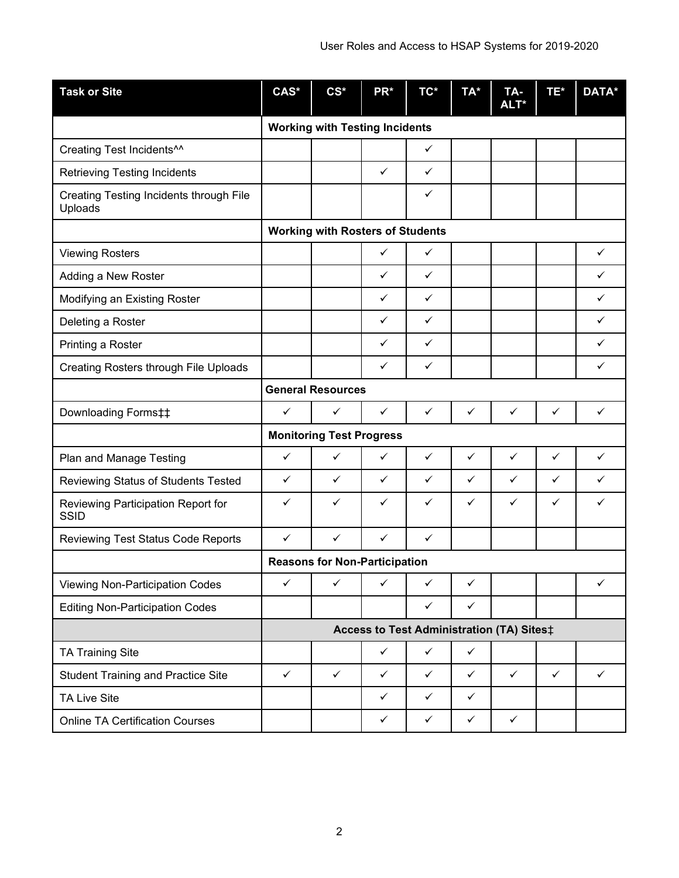| <b>Task or Site</b>                                | CAS*                                      | $CS^*$       | PR*          | TC*          | TA*          | TA-<br>ALT*  | TE*          | DATA*        |  |
|----------------------------------------------------|-------------------------------------------|--------------|--------------|--------------|--------------|--------------|--------------|--------------|--|
|                                                    | <b>Working with Testing Incidents</b>     |              |              |              |              |              |              |              |  |
| Creating Test Incidents <sup>^^</sup>              |                                           |              |              | $\checkmark$ |              |              |              |              |  |
| <b>Retrieving Testing Incidents</b>                |                                           |              | $\checkmark$ | ✓            |              |              |              |              |  |
| Creating Testing Incidents through File<br>Uploads |                                           |              |              | ✓            |              |              |              |              |  |
|                                                    | <b>Working with Rosters of Students</b>   |              |              |              |              |              |              |              |  |
| <b>Viewing Rosters</b>                             |                                           |              | $\checkmark$ | ✓            |              |              |              | $\checkmark$ |  |
| Adding a New Roster                                |                                           |              | ✓            | ✓            |              |              |              | ✓            |  |
| Modifying an Existing Roster                       |                                           |              | ✓            | $\checkmark$ |              |              |              | ✓            |  |
| Deleting a Roster                                  |                                           |              | ✓            | $\checkmark$ |              |              |              | $\checkmark$ |  |
| Printing a Roster                                  |                                           |              | $\checkmark$ | $\checkmark$ |              |              |              | ✓            |  |
| Creating Rosters through File Uploads              |                                           |              | ✓            | ✓            |              |              |              | ✓            |  |
|                                                    | <b>General Resources</b>                  |              |              |              |              |              |              |              |  |
| Downloading Forms‡‡                                | $\checkmark$                              | ✓            | ✓            | $\checkmark$ | $\checkmark$ | $\checkmark$ | $\checkmark$ | $\checkmark$ |  |
|                                                    | <b>Monitoring Test Progress</b>           |              |              |              |              |              |              |              |  |
| Plan and Manage Testing                            | $\checkmark$                              | $\checkmark$ | ✓            | $\checkmark$ | $\checkmark$ | $\checkmark$ | $\checkmark$ | $\checkmark$ |  |
| Reviewing Status of Students Tested                | ✓                                         | $\checkmark$ | ✓            | ✓            | ✓            | ✓            | ✓            | ✓            |  |
| Reviewing Participation Report for<br><b>SSID</b>  | ✓                                         | $\checkmark$ | $\checkmark$ | $\checkmark$ | ✓            | ✓            | ✓            | ✓            |  |
| Reviewing Test Status Code Reports                 | $\checkmark$                              | ✓            | ✓            | ✓            |              |              |              |              |  |
|                                                    | <b>Reasons for Non-Participation</b>      |              |              |              |              |              |              |              |  |
| <b>Viewing Non-Participation Codes</b>             | ✓                                         | $\checkmark$ | $\checkmark$ | $\checkmark$ | $\checkmark$ |              |              | ✓            |  |
| <b>Editing Non-Participation Codes</b>             |                                           |              |              | ✓            | $\checkmark$ |              |              |              |  |
|                                                    | Access to Test Administration (TA) Sites‡ |              |              |              |              |              |              |              |  |
| <b>TA Training Site</b>                            |                                           |              | $\checkmark$ | $\checkmark$ | $\checkmark$ |              |              |              |  |
| <b>Student Training and Practice Site</b>          | $\checkmark$                              | $\checkmark$ | $\checkmark$ | $\checkmark$ | $\checkmark$ | $\checkmark$ | $\checkmark$ | $\checkmark$ |  |
| <b>TA Live Site</b>                                |                                           |              | $\checkmark$ | $\checkmark$ | $\checkmark$ |              |              |              |  |
| <b>Online TA Certification Courses</b>             |                                           |              | $\checkmark$ | $\checkmark$ | $\checkmark$ | $\checkmark$ |              |              |  |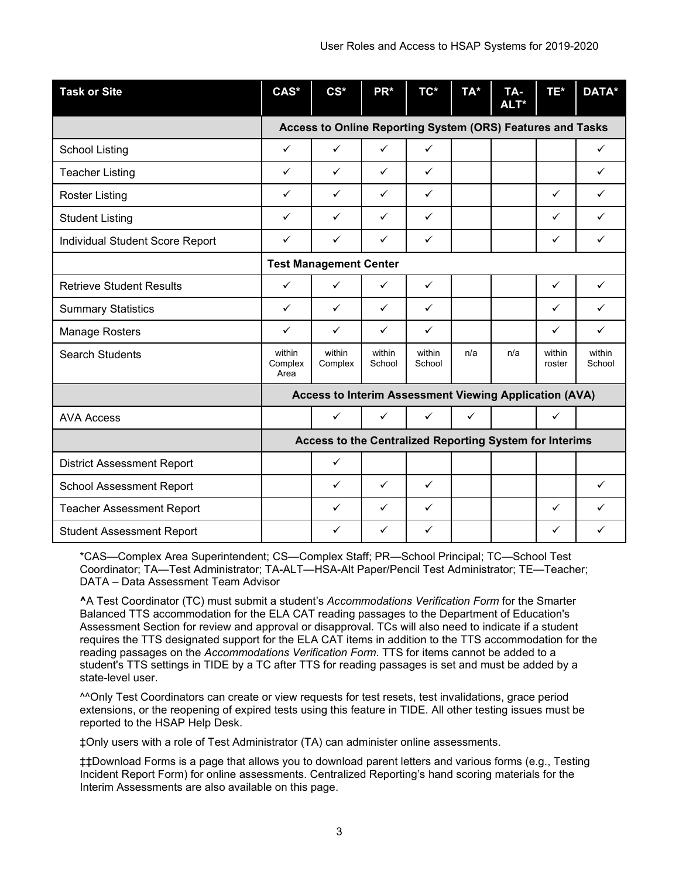| <b>Task or Site</b>               | CAS*                                                       | $CS*$             | PR*              | TC*              | TA*          | TA-<br>ALT* | TE*              | DATA*            |  |
|-----------------------------------|------------------------------------------------------------|-------------------|------------------|------------------|--------------|-------------|------------------|------------------|--|
|                                   | Access to Online Reporting System (ORS) Features and Tasks |                   |                  |                  |              |             |                  |                  |  |
| <b>School Listing</b>             | $\checkmark$                                               | ✓                 | $\checkmark$     | ✓                |              |             |                  | ✓                |  |
| <b>Teacher Listing</b>            | $\checkmark$                                               | $\checkmark$      | $\checkmark$     | $\checkmark$     |              |             |                  | $\checkmark$     |  |
| <b>Roster Listing</b>             | ✓                                                          | $\checkmark$      | $\checkmark$     | $\checkmark$     |              |             | $\checkmark$     | ✓                |  |
| <b>Student Listing</b>            | ✓                                                          | $\checkmark$      | $\checkmark$     | ✓                |              |             | $\checkmark$     | $\checkmark$     |  |
| Individual Student Score Report   | $\checkmark$                                               | $\checkmark$      | $\checkmark$     | $\checkmark$     |              |             | $\checkmark$     | $\checkmark$     |  |
|                                   | <b>Test Management Center</b>                              |                   |                  |                  |              |             |                  |                  |  |
| <b>Retrieve Student Results</b>   | ✓                                                          | ✓                 | ✓                | $\checkmark$     |              |             | $\checkmark$     | $\checkmark$     |  |
| <b>Summary Statistics</b>         | $\checkmark$                                               | $\checkmark$      | $\checkmark$     | $\checkmark$     |              |             | ✓                | $\checkmark$     |  |
| <b>Manage Rosters</b>             | ✓                                                          | ✓                 | $\checkmark$     | ✓                |              |             | ✓                | ✓                |  |
| <b>Search Students</b>            | within<br>Complex<br>Area                                  | within<br>Complex | within<br>School | within<br>School | n/a          | n/a         | within<br>roster | within<br>School |  |
|                                   | Access to Interim Assessment Viewing Application (AVA)     |                   |                  |                  |              |             |                  |                  |  |
| <b>AVA Access</b>                 |                                                            | ✓                 | ✓                | ✓                | $\checkmark$ |             | ✓                |                  |  |
|                                   | Access to the Centralized Reporting System for Interims    |                   |                  |                  |              |             |                  |                  |  |
| <b>District Assessment Report</b> |                                                            | $\checkmark$      |                  |                  |              |             |                  |                  |  |
| <b>School Assessment Report</b>   |                                                            | ✓                 | $\checkmark$     | $\checkmark$     |              |             |                  | $\checkmark$     |  |
| <b>Teacher Assessment Report</b>  |                                                            | ✓                 | $\checkmark$     | ✓                |              |             | ✓                | ✓                |  |
| <b>Student Assessment Report</b>  |                                                            | ✓                 | ✓                | ✓                |              |             | ✓                | $\checkmark$     |  |

\*CAS—Complex Area Superintendent; CS—Complex Staff; PR—School Principal; TC—School Test Coordinator; TA—Test Administrator; TA-ALT—HSA-Alt Paper/Pencil Test Administrator; TE—Teacher; DATA – Data Assessment Team Advisor

**^**A Test Coordinator (TC) must submit a student's *Accommodations Verification Form* for the Smarter Balanced TTS accommodation for the ELA CAT reading passages to the Department of Education's Assessment Section for review and approval or disapproval. TCs will also need to indicate if a student requires the TTS designated support for the ELA CAT items in addition to the TTS accommodation for the reading passages on the *Accommodations Verification Form*. TTS for items cannot be added to a student's TTS settings in TIDE by a TC after TTS for reading passages is set and must be added by a state-level user.

^^Only Test Coordinators can create or view requests for test resets, test invalidations, grace period extensions, or the reopening of expired tests using this feature in TIDE. All other testing issues must be reported to the HSAP Help Desk.

‡Only users with a role of Test Administrator (TA) can administer online assessments.

‡‡Download Forms is a page that allows you to download parent letters and various forms (e.g., Testing Incident Report Form) for online assessments. Centralized Reporting's hand scoring materials for the Interim Assessments are also available on this page.